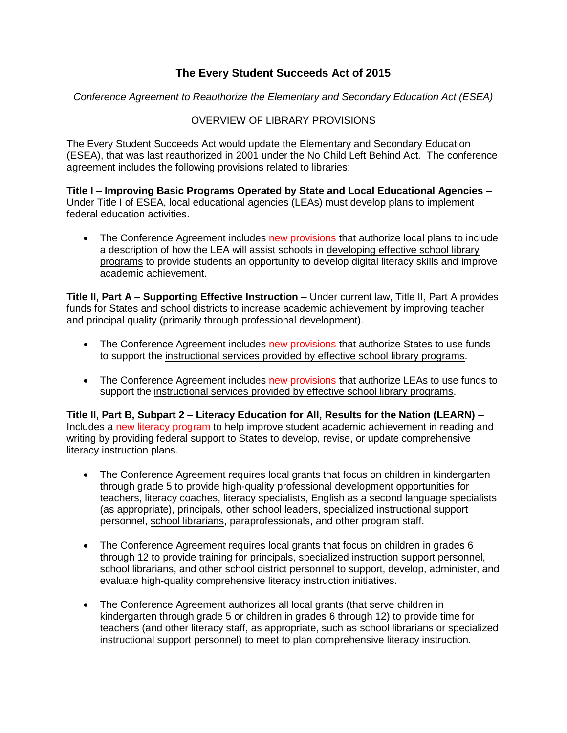## **The Every Student Succeeds Act of 2015**

*Conference Agreement to Reauthorize the Elementary and Secondary Education Act (ESEA)*

## OVERVIEW OF LIBRARY PROVISIONS

The Every Student Succeeds Act would update the Elementary and Secondary Education (ESEA), that was last reauthorized in 2001 under the No Child Left Behind Act. The conference agreement includes the following provisions related to libraries:

**Title I – Improving Basic Programs Operated by State and Local Educational Agencies** – Under Title I of ESEA, local educational agencies (LEAs) must develop plans to implement federal education activities.

• The Conference Agreement includes new provisions that authorize local plans to include a description of how the LEA will assist schools in developing effective school library programs to provide students an opportunity to develop digital literacy skills and improve academic achievement.

**Title II, Part A – Supporting Effective Instruction** – Under current law, Title II, Part A provides funds for States and school districts to increase academic achievement by improving teacher and principal quality (primarily through professional development).

- The Conference Agreement includes new provisions that authorize States to use funds to support the instructional services provided by effective school library programs.
- The Conference Agreement includes new provisions that authorize LEAs to use funds to support the instructional services provided by effective school library programs.

**Title II, Part B, Subpart 2 – Literacy Education for All, Results for the Nation (LEARN)** – Includes a new literacy program to help improve student academic achievement in reading and writing by providing federal support to States to develop, revise, or update comprehensive literacy instruction plans.

- The Conference Agreement requires local grants that focus on children in kindergarten through grade 5 to provide high-quality professional development opportunities for teachers, literacy coaches, literacy specialists, English as a second language specialists (as appropriate), principals, other school leaders, specialized instructional support personnel, school librarians, paraprofessionals, and other program staff.
- The Conference Agreement requires local grants that focus on children in grades 6 through 12 to provide training for principals, specialized instruction support personnel, school librarians, and other school district personnel to support, develop, administer, and evaluate high-quality comprehensive literacy instruction initiatives.
- The Conference Agreement authorizes all local grants (that serve children in kindergarten through grade 5 or children in grades 6 through 12) to provide time for teachers (and other literacy staff, as appropriate, such as school librarians or specialized instructional support personnel) to meet to plan comprehensive literacy instruction.